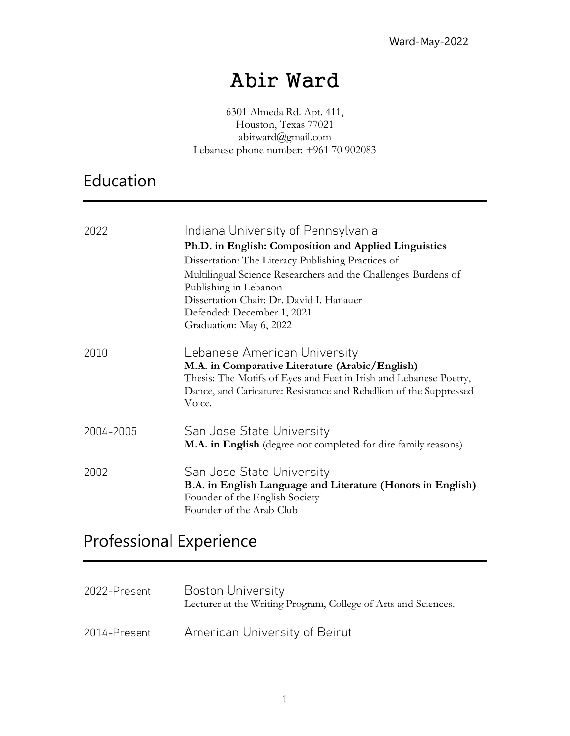# Abir Ward

6301 Almeda Rd. Apt. 411, Houston, Texas 77021 abirward@gmail.com Lebanese phone number: +961 70 902083

## Education

| 2022      | Indiana University of Pennsylvania<br>Ph.D. in English: Composition and Applied Linguistics<br>Dissertation: The Literacy Publishing Practices of<br>Multilingual Science Researchers and the Challenges Burdens of<br>Publishing in Lebanon<br>Dissertation Chair: Dr. David I. Hanauer<br>Defended: December 1, 2021<br>Graduation: May 6, 2022 |
|-----------|---------------------------------------------------------------------------------------------------------------------------------------------------------------------------------------------------------------------------------------------------------------------------------------------------------------------------------------------------|
| 2010      | Lebanese American University<br>M.A. in Comparative Literature (Arabic/English)<br>Thesis: The Motifs of Eyes and Feet in Irish and Lebanese Poetry,<br>Dance, and Caricature: Resistance and Rebellion of the Suppressed<br>Voice.                                                                                                               |
| 2004-2005 | San Jose State University<br>M.A. in English (degree not completed for dire family reasons)                                                                                                                                                                                                                                                       |
| 2002      | San Jose State University<br>B.A. in English Language and Literature (Honors in English)<br>Founder of the English Society<br>Founder of the Arab Club                                                                                                                                                                                            |

# Professional Experience

| 2022-Present | Boston University<br>Lecturer at the Writing Program, College of Arts and Sciences. |
|--------------|-------------------------------------------------------------------------------------|
| 2014-Present | American University of Beirut                                                       |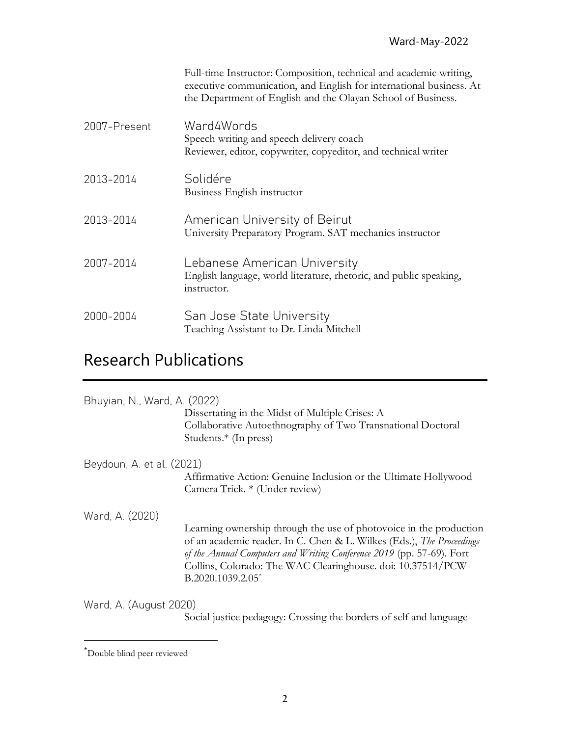|              | Full-time Instructor: Composition, technical and academic writing,<br>executive communication, and English for international business. At<br>the Department of English and the Olayan School of Business. |
|--------------|-----------------------------------------------------------------------------------------------------------------------------------------------------------------------------------------------------------|
| 2007-Present | Ward4Words<br>Speech writing and speech delivery coach<br>Reviewer, editor, copywriter, copyeditor, and technical writer                                                                                  |
| 2013-2014    | Solidére<br>Business English instructor                                                                                                                                                                   |
| 2013-2014    | American University of Beirut<br>University Preparatory Program. SAT mechanics instructor                                                                                                                 |
| 2007-2014    | Lebanese American University<br>English language, world literature, rhetoric, and public speaking,<br>instructor.                                                                                         |
| 2000-2004    | San Jose State University<br>Teaching Assistant to Dr. Linda Mitchell                                                                                                                                     |

## Research Publications

| Bhuyian, N., Ward, A. (2022)                                  | Dissertating in the Midst of Multiple Crises: A<br>Collaborative Autoethnography of Two Transnational Doctoral<br>Students. $*(\text{In press})$                                                                                                                                                          |
|---------------------------------------------------------------|-----------------------------------------------------------------------------------------------------------------------------------------------------------------------------------------------------------------------------------------------------------------------------------------------------------|
| Beydoun, A. et al. (2021)                                     | Affirmative Action: Genuine Inclusion or the Ultimate Hollywood<br>Camera Trick. * (Under review)                                                                                                                                                                                                         |
| Ward, A. (2020)                                               | Learning ownership through the use of photovoice in the production<br>of an academic reader. In C. Chen & L. Wilkes (Eds.), The Proceedings<br>of the Annual Computers and Writing Conference 2019 (pp. 57-69). Fort<br>Collins, Colorado: The WAC Clearinghouse. doi: 10.37514/PCW-<br>B.2020.1039.2.05* |
| $M_{\text{end}}$ $\Lambda$ $(\Lambda_{\text{start}}$ $\Omega$ |                                                                                                                                                                                                                                                                                                           |

Ward, A. (August 2020)

Social justice pedagogy: Crossing the borders of self and language-

<sup>\*</sup>Double blind peer reviewed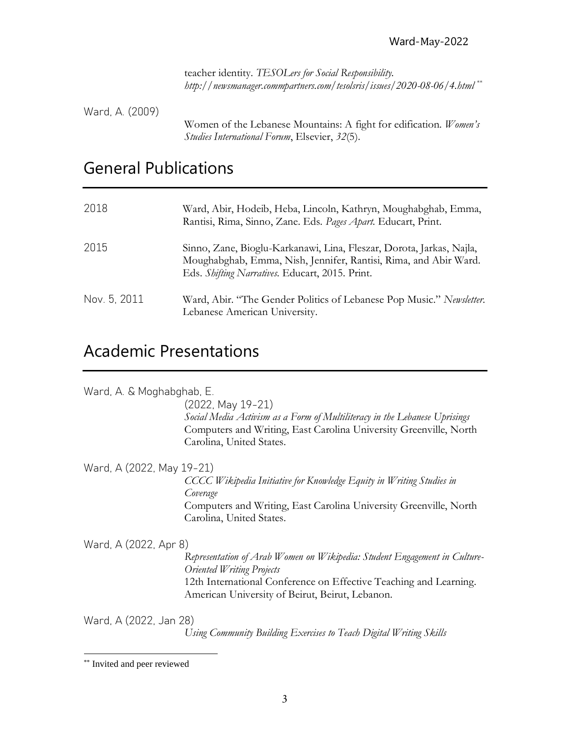teacher identity. *TESOLers for Social Responsibility. http://newsmanager.commpartners.com/tesolsris/issues/2020-08-06/4.html* \*\*

Ward, A. (2009) Women of the Lebanese Mountains: A fight for edification. *Women's Studies International Forum*, Elsevier, *32*(5).

### General Publications

| 2018         | Ward, Abir, Hodeib, Heba, Lincoln, Kathryn, Moughabghab, Emma,<br>Rantisi, Rima, Sinno, Zane. Eds. Pages Apart. Educart, Print.                                                             |
|--------------|---------------------------------------------------------------------------------------------------------------------------------------------------------------------------------------------|
| 2015         | Sinno, Zane, Bioglu-Karkanawi, Lina, Fleszar, Dorota, Jarkas, Najla,<br>Moughabghab, Emma, Nish, Jennifer, Rantisi, Rima, and Abir Ward.<br>Eds. Shifting Narratives. Educart, 2015. Print. |
| Nov. 5, 2011 | Ward, Abir. "The Gender Politics of Lebanese Pop Music." Newsletter.<br>Lebanese American University.                                                                                       |

## Academic Presentations

Ward, A. & Moghabghab, E.

(2022, May 19-21) *Social Media Activism as a Form of Multiliteracy in the Lebanese Uprisings* Computers and Writing, East Carolina University Greenville, North Carolina, United States.

Ward, A (2022, May 19-21)

*CCCC Wikipedia Initiative for Knowledge Equity in Writing Studies in Coverage* Computers and Writing, East Carolina University Greenville, North Carolina, United States.

Ward, A (2022, Apr 8)

*Representation of Arab Women on Wikipedia: Student Engagement in Culture-Oriented Writing Projects*  12th International Conference on Effective Teaching and Learning*.* American University of Beirut, Beirut, Lebanon.

Ward, A (2022, Jan 28)

*Using Community Building Exercises to Teach Digital Writing Skills*

<sup>\*\*</sup> Invited and peer reviewed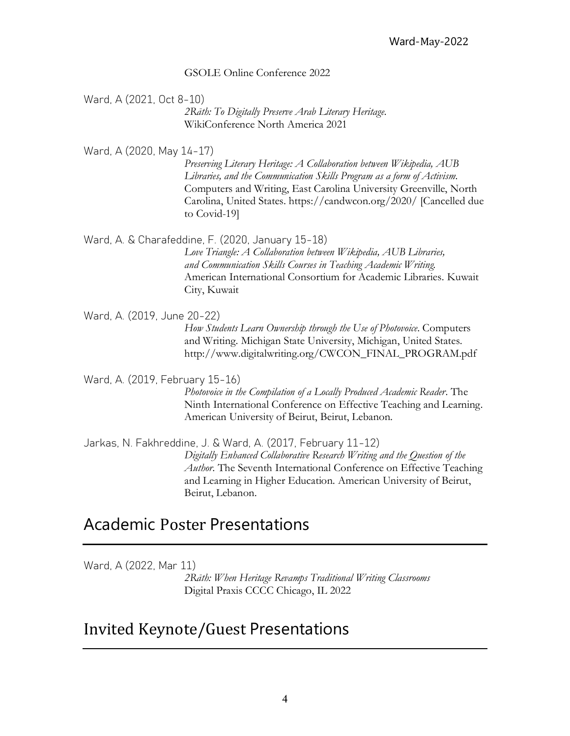#### GSOLE Online Conference 2022

Ward, A (2021, Oct 8-10) *2Rāth: To Digitally Preserve Arab Literary Heritage.* WikiConference North America 2021

Ward, A (2020, May 14-17) *Preserving Literary Heritage: A Collaboration between Wikipedia, AUB Libraries, and the Communication Skills Program as a form of Activism*. Computers and Writing, East Carolina University Greenville, North Carolina, United States. https://candwcon.org/2020/ [Cancelled due to Covid-19]

Ward, A. & Charafeddine, F. (2020, January 15-18) *Love Triangle: A Collaboration between Wikipedia, AUB Libraries, and Communication Skills Courses in Teaching Academic Writing.*  American International Consortium for Academic Libraries. Kuwait City, Kuwait

Ward, A. (2019, June 20-22) *How Students Learn Ownership through the Use of Photovoice*. Computers and Writing. Michigan State University, Michigan, United States. http://www.digitalwriting.org/CWCON\_FINAL\_PROGRAM.pdf

Ward, A. (2019, February 15-16)

*Photovoice in the Compilation of a Locally Produced Academic Reader*. The Ninth International Conference on Effective Teaching and Learning*.* American University of Beirut, Beirut, Lebanon.

Jarkas, N. Fakhreddine, J. & Ward, A. (2017, February 11-12) *Digitally Enhanced Collaborative Research Writing and the Question of the Author*. The Seventh International Conference on Effective Teaching and Learning in Higher Education. American University of Beirut, Beirut, Lebanon.

### Academic Poster Presentations

Ward, A (2022, Mar 11)

*2Rāth: When Heritage Revamps Traditional Writing Classrooms* Digital Praxis CCCC Chicago, IL 2022

### Invited Keynote/Guest Presentations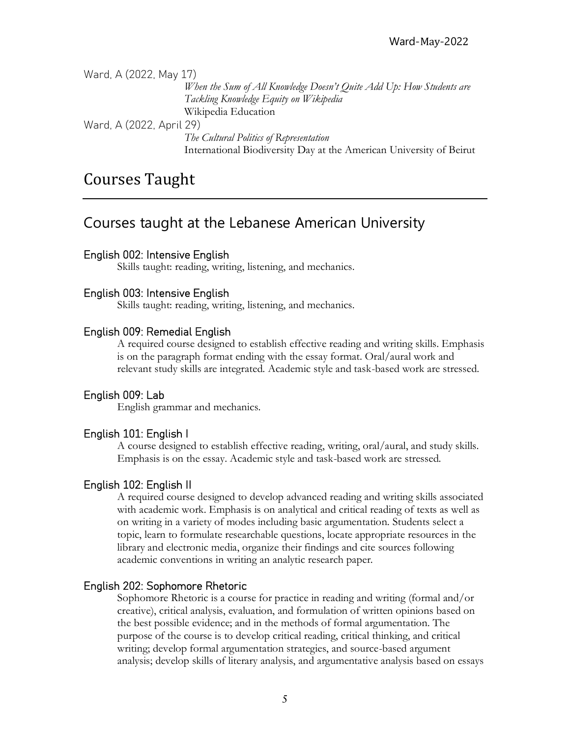Ward, A (2022, May 17)

*When the Sum of All Knowledge Doesn't Quite Add Up: How Students are Tackling Knowledge Equity on Wikipedia* Wikipedia Education

Ward, A (2022, April 29)

*The Cultural Politics of Representation* International Biodiversity Day at the American University of Beirut

### Courses Taught

### Courses taught at the Lebanese American University

#### English 002: Intensive English

Skills taught: reading, writing, listening, and mechanics.

#### English 003: Intensive English

Skills taught: reading, writing, listening, and mechanics.

#### English 009: Remedial English

A required course designed to establish effective reading and writing skills. Emphasis is on the paragraph format ending with the essay format. Oral/aural work and relevant study skills are integrated. Academic style and task-based work are stressed.

#### English 009: Lab

English grammar and mechanics.

#### English 101: English I

A course designed to establish effective reading, writing, oral/aural, and study skills. Emphasis is on the essay. Academic style and task-based work are stressed.

#### English 102: English II

 A required course designed to develop advanced reading and writing skills associated with academic work. Emphasis is on analytical and critical reading of texts as well as on writing in a variety of modes including basic argumentation. Students select a topic, learn to formulate researchable questions, locate appropriate resources in the library and electronic media, organize their findings and cite sources following academic conventions in writing an analytic research paper.

#### English 202: Sophomore Rhetoric

Sophomore Rhetoric is a course for practice in reading and writing (formal and/or creative), critical analysis, evaluation, and formulation of written opinions based on the best possible evidence; and in the methods of formal argumentation. The purpose of the course is to develop critical reading, critical thinking, and critical writing; develop formal argumentation strategies, and source-based argument analysis; develop skills of literary analysis, and argumentative analysis based on essays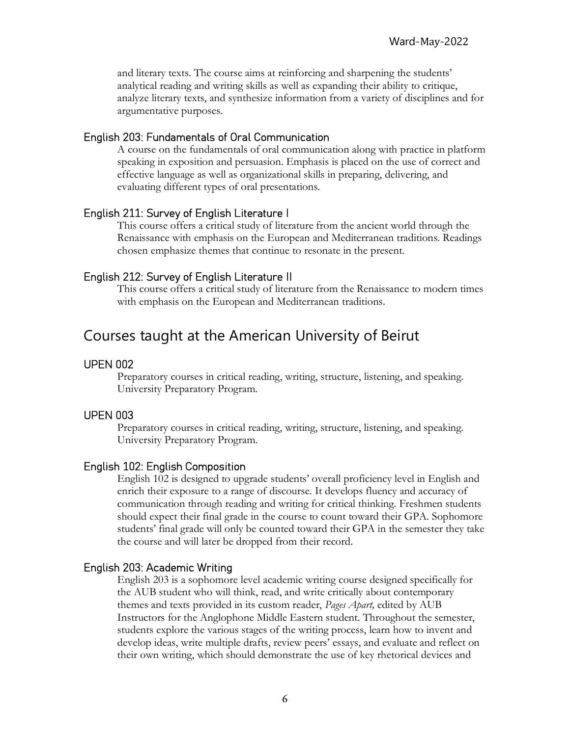and literary texts. The course aims at reinforcing and sharpening the students' analytical reading and writing skills as well as expanding their ability to critique, analyze literary texts, and synthesize information from a variety of disciplines and for argumentative purposes.

#### English 203: Fundamentals of Oral Communication

A course on the fundamentals of oral communication along with practice in platform speaking in exposition and persuasion. Emphasis is placed on the use of correct and effective language as well as organizational skills in preparing, delivering, and evaluating different types of oral presentations.

#### English 211: Survey of English Literature I

This course offers a critical study of literature from the ancient world through the Renaissance with emphasis on the European and Mediterranean traditions. Readings chosen emphasize themes that continue to resonate in the present.

#### English 212: Survey of English Literature II

This course offers a critical study of literature from the Renaissance to modern times with emphasis on the European and Mediterranean traditions.

### Courses taught at the American University of Beirut

#### UPEN 002

Preparatory courses in critical reading, writing, structure, listening, and speaking. University Preparatory Program.

#### UPEN 003

Preparatory courses in critical reading, writing, structure, listening, and speaking. University Preparatory Program.

#### English 102: English Composition

 English 102 is designed to upgrade students' overall proficiency level in English and enrich their exposure to a range of discourse. It develops fluency and accuracy of communication through reading and writing for critical thinking. Freshmen students should expect their final grade in the course to count toward their GPA. Sophomore students' final grade will only be counted toward their GPA in the semester they take the course and will later be dropped from their record.

#### English 203: Academic Writing

 English 203 is a sophomore level academic writing course designed specifically for the AUB student who will think, read, and write critically about contemporary themes and texts provided in its custom reader, *Pages Apart,* edited by AUB Instructors for the Anglophone Middle Eastern student. Throughout the semester, students explore the various stages of the writing process, learn how to invent and develop ideas, write multiple drafts, review peers' essays, and evaluate and reflect on their own writing, which should demonstrate the use of key rhetorical devices and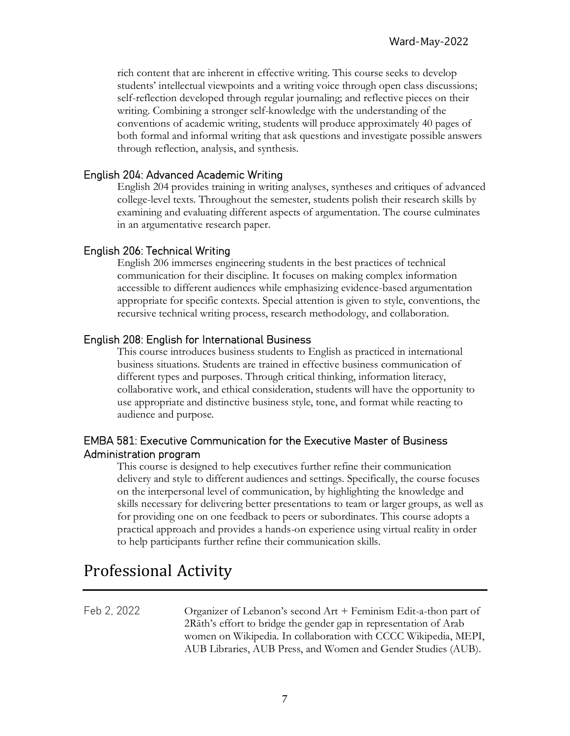rich content that are inherent in effective writing. This course seeks to develop students' intellectual viewpoints and a writing voice through open class discussions; self-reflection developed through regular journaling; and reflective pieces on their writing. Combining a stronger self-knowledge with the understanding of the conventions of academic writing, students will produce approximately 40 pages of both formal and informal writing that ask questions and investigate possible answers through reflection, analysis, and synthesis.

#### English 204: Advanced Academic Writing

English 204 provides training in writing analyses, syntheses and critiques of advanced college-level texts. Throughout the semester, students polish their research skills by examining and evaluating different aspects of argumentation. The course culminates in an argumentative research paper.

#### English 206: Technical Writing

English 206 immerses engineering students in the best practices of technical communication for their discipline. It focuses on making complex information accessible to different audiences while emphasizing evidence-based argumentation appropriate for specific contexts. Special attention is given to style, conventions, the recursive technical writing process, research methodology, and collaboration.

#### English 208: English for International Business

This course introduces business students to English as practiced in international business situations. Students are trained in effective business communication of different types and purposes. Through critical thinking, information literacy, collaborative work, and ethical consideration, students will have the opportunity to use appropriate and distinctive business style, tone, and format while reacting to audience and purpose.

#### EMBA 581: Executive Communication for the Executive Master of Business Administration program

 This course is designed to help executives further refine their communication delivery and style to different audiences and settings. Specifically, the course focuses on the interpersonal level of communication, by highlighting the knowledge and skills necessary for delivering better presentations to team or larger groups, as well as for providing one on one feedback to peers or subordinates. This course adopts a practical approach and provides a hands-on experience using virtual reality in order to help participants further refine their communication skills.

### Professional Activity

Feb 2, 2022 Organizer of Lebanon's second Art + Feminism Edit-a-thon part of 2Rāth's effort to bridge the gender gap in representation of Arab women on Wikipedia. In collaboration with CCCC Wikipedia, MEPI, AUB Libraries, AUB Press, and Women and Gender Studies (AUB).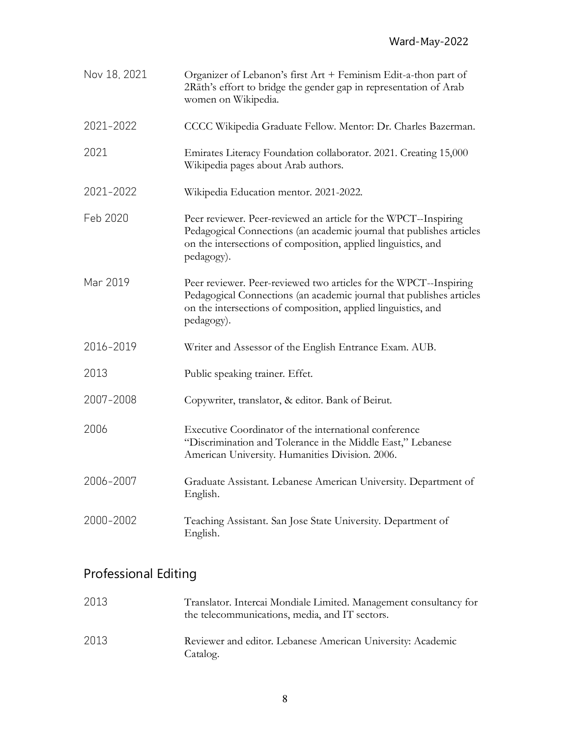| Nov 18, 2021 | Organizer of Lebanon's first Art + Feminism Edit-a-thon part of<br>2Rāth's effort to bridge the gender gap in representation of Arab<br>women on Wikipedia.                                                              |
|--------------|--------------------------------------------------------------------------------------------------------------------------------------------------------------------------------------------------------------------------|
| 2021-2022    | CCCC Wikipedia Graduate Fellow. Mentor: Dr. Charles Bazerman.                                                                                                                                                            |
| 2021         | Emirates Literacy Foundation collaborator. 2021. Creating 15,000<br>Wikipedia pages about Arab authors.                                                                                                                  |
| 2021-2022    | Wikipedia Education mentor. 2021-2022.                                                                                                                                                                                   |
| Feb 2020     | Peer reviewer. Peer-reviewed an article for the WPCT--Inspiring<br>Pedagogical Connections (an academic journal that publishes articles<br>on the intersections of composition, applied linguistics, and<br>pedagogy).   |
| Mar 2019     | Peer reviewer. Peer-reviewed two articles for the WPCT--Inspiring<br>Pedagogical Connections (an academic journal that publishes articles<br>on the intersections of composition, applied linguistics, and<br>pedagogy). |
| 2016-2019    | Writer and Assessor of the English Entrance Exam. AUB.                                                                                                                                                                   |
| 2013         | Public speaking trainer. Effet.                                                                                                                                                                                          |
| 2007-2008    | Copywriter, translator, & editor. Bank of Beirut.                                                                                                                                                                        |
| 2006         | Executive Coordinator of the international conference<br>"Discrimination and Tolerance in the Middle East," Lebanese<br>American University. Humanities Division. 2006.                                                  |
| 2006-2007    | Graduate Assistant. Lebanese American University. Department of<br>English.                                                                                                                                              |
| 2000-2002    | Teaching Assistant. San Jose State University. Department of<br>English.                                                                                                                                                 |

## Professional Editing

| 2013 | Translator. Intercai Mondiale Limited. Management consultancy for<br>the telecommunications, media, and IT sectors. |
|------|---------------------------------------------------------------------------------------------------------------------|
| 2013 | Reviewer and editor. Lebanese American University: Academic<br>Catalog.                                             |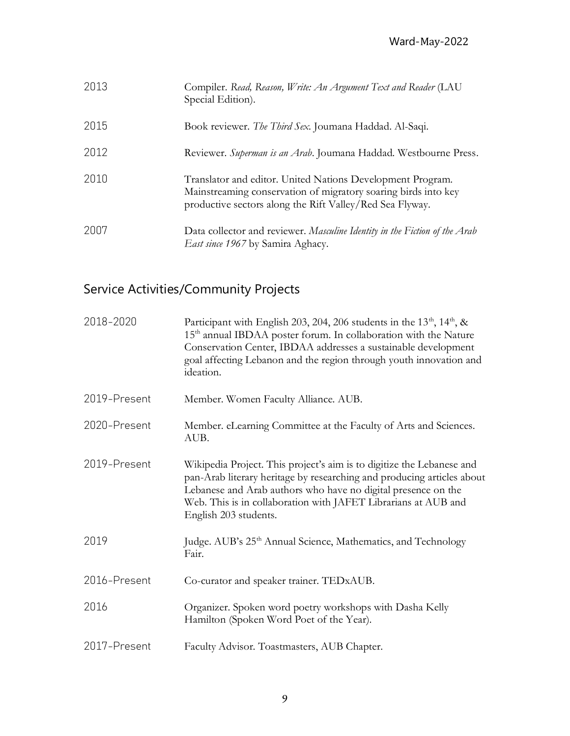| 2013 | Compiler. Read, Reason, Write: An Argument Text and Reader (LAU<br>Special Edition).                                                                                                     |
|------|------------------------------------------------------------------------------------------------------------------------------------------------------------------------------------------|
| 2015 | Book reviewer. The Third Sex. Joumana Haddad. Al-Saqi.                                                                                                                                   |
| 2012 | Reviewer. Superman is an Arab. Journana Haddad. Westbourne Press.                                                                                                                        |
| 2010 | Translator and editor. United Nations Development Program.<br>Mainstreaming conservation of migratory soaring birds into key<br>productive sectors along the Rift Valley/Red Sea Flyway. |
| 2007 | Data collector and reviewer. Masculine Identity in the Fiction of the Arab<br>East since 1967 by Samira Aghacy.                                                                          |

## Service Activities/Community Projects

| 2018-2020    | Participant with English 203, 204, 206 students in the $13th$ , $14th$ , &<br>15 <sup>th</sup> annual IBDAA poster forum. In collaboration with the Nature<br>Conservation Center, IBDAA addresses a sustainable development<br>goal affecting Lebanon and the region through youth innovation and<br>ideation. |
|--------------|-----------------------------------------------------------------------------------------------------------------------------------------------------------------------------------------------------------------------------------------------------------------------------------------------------------------|
| 2019-Present | Member. Women Faculty Alliance. AUB.                                                                                                                                                                                                                                                                            |
| 2020-Present | Member. eLearning Committee at the Faculty of Arts and Sciences.<br>AUB.                                                                                                                                                                                                                                        |
| 2019-Present | Wikipedia Project. This project's aim is to digitize the Lebanese and<br>pan-Arab literary heritage by researching and producing articles about<br>Lebanese and Arab authors who have no digital presence on the<br>Web. This is in collaboration with JAFET Librarians at AUB and<br>English 203 students.     |
| 2019         | Judge. AUB's 25 <sup>th</sup> Annual Science, Mathematics, and Technology<br>Fair.                                                                                                                                                                                                                              |
| 2016-Present | Co-curator and speaker trainer. TEDxAUB.                                                                                                                                                                                                                                                                        |
| 2016         | Organizer. Spoken word poetry workshops with Dasha Kelly<br>Hamilton (Spoken Word Poet of the Year).                                                                                                                                                                                                            |
| 2017-Present | Faculty Advisor. Toastmasters, AUB Chapter.                                                                                                                                                                                                                                                                     |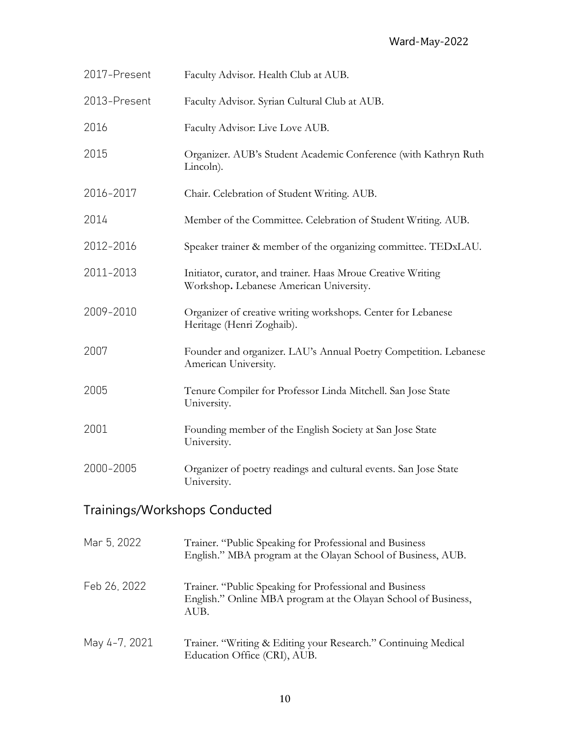| 2017-Present                  | Faculty Advisor. Health Club at AUB.                                                                                              |  |
|-------------------------------|-----------------------------------------------------------------------------------------------------------------------------------|--|
| 2013-Present                  | Faculty Advisor. Syrian Cultural Club at AUB.                                                                                     |  |
| 2016                          | Faculty Advisor: Live Love AUB.                                                                                                   |  |
| 2015                          | Organizer. AUB's Student Academic Conference (with Kathryn Ruth<br>Lincoln).                                                      |  |
| 2016-2017                     | Chair. Celebration of Student Writing. AUB.                                                                                       |  |
| 2014                          | Member of the Committee. Celebration of Student Writing. AUB.                                                                     |  |
| 2012-2016                     | Speaker trainer & member of the organizing committee. TEDxLAU.                                                                    |  |
| 2011-2013                     | Initiator, curator, and trainer. Haas Mroue Creative Writing<br>Workshop. Lebanese American University.                           |  |
| 2009-2010                     | Organizer of creative writing workshops. Center for Lebanese<br>Heritage (Henri Zoghaib).                                         |  |
| 2007                          | Founder and organizer. LAU's Annual Poetry Competition. Lebanese<br>American University.                                          |  |
| 2005                          | Tenure Compiler for Professor Linda Mitchell. San Jose State<br>University.                                                       |  |
| 2001                          | Founding member of the English Society at San Jose State<br>University.                                                           |  |
| 2000-2005                     | Organizer of poetry readings and cultural events. San Jose State<br>University.                                                   |  |
| Trainings/Workshops Conducted |                                                                                                                                   |  |
| Mar 5, 2022                   | Trainer. "Public Speaking for Professional and Business<br>English." MBA program at the Olayan School of Business, AUB.           |  |
| Feb 26, 2022                  | Trainer. "Public Speaking for Professional and Business<br>English." Online MBA program at the Olayan School of Business,<br>AUB. |  |

May 4-7, 2021 Trainer. "Writing & Editing your Research." Continuing Medical Education Office (CRI), AUB.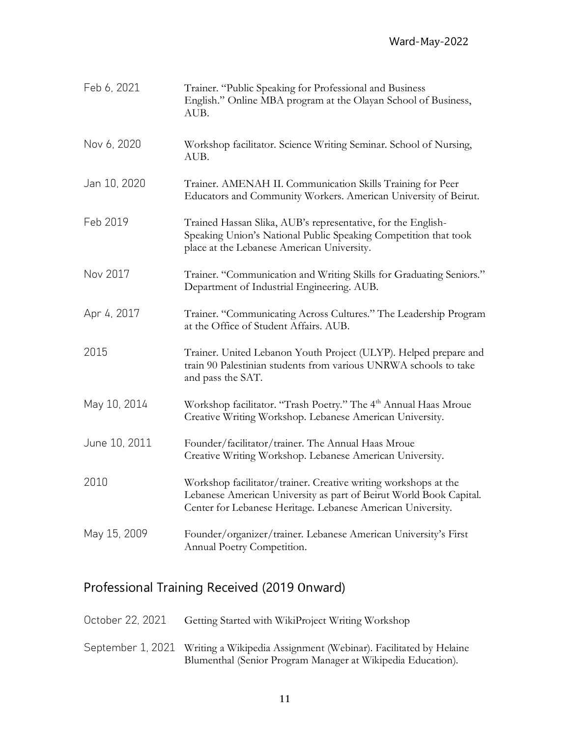| Feb 6, 2021   | Trainer. "Public Speaking for Professional and Business<br>English." Online MBA program at the Olayan School of Business,<br>AUB.                                                                    |
|---------------|------------------------------------------------------------------------------------------------------------------------------------------------------------------------------------------------------|
| Nov 6, 2020   | Workshop facilitator. Science Writing Seminar. School of Nursing,<br>AUB.                                                                                                                            |
| Jan 10, 2020  | Trainer. AMENAH II. Communication Skills Training for Peer<br>Educators and Community Workers. American University of Beirut.                                                                        |
| Feb 2019      | Trained Hassan Slika, AUB's representative, for the English-<br>Speaking Union's National Public Speaking Competition that took<br>place at the Lebanese American University.                        |
| Nov 2017      | Trainer. "Communication and Writing Skills for Graduating Seniors."<br>Department of Industrial Engineering. AUB.                                                                                    |
| Apr 4, 2017   | Trainer. "Communicating Across Cultures." The Leadership Program<br>at the Office of Student Affairs. AUB.                                                                                           |
| 2015          | Trainer. United Lebanon Youth Project (ULYP). Helped prepare and<br>train 90 Palestinian students from various UNRWA schools to take<br>and pass the SAT.                                            |
| May 10, 2014  | Workshop facilitator. "Trash Poetry." The 4 <sup>th</sup> Annual Haas Mroue<br>Creative Writing Workshop. Lebanese American University.                                                              |
| June 10, 2011 | Founder/facilitator/trainer. The Annual Haas Mroue<br>Creative Writing Workshop. Lebanese American University.                                                                                       |
| 2010          | Workshop facilitator/trainer. Creative writing workshops at the<br>Lebanese American University as part of Beirut World Book Capital.<br>Center for Lebanese Heritage. Lebanese American University. |
| May 15, 2009  | Founder/organizer/trainer. Lebanese American University's First<br>Annual Poetry Competition.                                                                                                        |

### Professional Training Received (2019 Onward)

|  | October 22, 2021 | Getting Started with WikiProject Writing Workshop |
|--|------------------|---------------------------------------------------|
|--|------------------|---------------------------------------------------|

September 1, 2021 Writing a Wikipedia Assignment (Webinar). Facilitated by Helaine Blumenthal (Senior Program Manager at Wikipedia Education).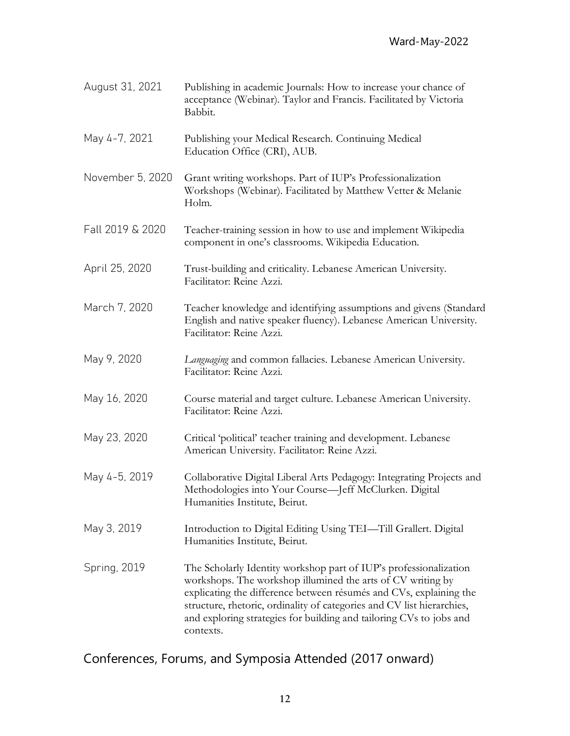| August 31, 2021  | Publishing in academic Journals: How to increase your chance of<br>acceptance (Webinar). Taylor and Francis. Facilitated by Victoria<br>Babbit.                                                                                                                                                                                                                      |
|------------------|----------------------------------------------------------------------------------------------------------------------------------------------------------------------------------------------------------------------------------------------------------------------------------------------------------------------------------------------------------------------|
| May 4-7, 2021    | Publishing your Medical Research. Continuing Medical<br>Education Office (CRI), AUB.                                                                                                                                                                                                                                                                                 |
| November 5, 2020 | Grant writing workshops. Part of IUP's Professionalization<br>Workshops (Webinar). Facilitated by Matthew Vetter & Melanie<br>Holm.                                                                                                                                                                                                                                  |
| Fall 2019 & 2020 | Teacher-training session in how to use and implement Wikipedia<br>component in one's classrooms. Wikipedia Education.                                                                                                                                                                                                                                                |
| April 25, 2020   | Trust-building and criticality. Lebanese American University.<br>Facilitator: Reine Azzi.                                                                                                                                                                                                                                                                            |
| March 7, 2020    | Teacher knowledge and identifying assumptions and givens (Standard<br>English and native speaker fluency). Lebanese American University.<br>Facilitator: Reine Azzi.                                                                                                                                                                                                 |
| May 9, 2020      | Languaging and common fallacies. Lebanese American University.<br>Facilitator: Reine Azzi.                                                                                                                                                                                                                                                                           |
| May 16, 2020     | Course material and target culture. Lebanese American University.<br>Facilitator: Reine Azzi.                                                                                                                                                                                                                                                                        |
| May 23, 2020     | Critical 'political' teacher training and development. Lebanese<br>American University. Facilitator: Reine Azzi.                                                                                                                                                                                                                                                     |
| May 4-5, 2019    | Collaborative Digital Liberal Arts Pedagogy: Integrating Projects and<br>Methodologies into Your Course—Jeff McClurken. Digital<br>Humanities Institute, Beirut.                                                                                                                                                                                                     |
| May 3, 2019      | Introduction to Digital Editing Using TEI-Till Grallert. Digital<br>Humanities Institute, Beirut.                                                                                                                                                                                                                                                                    |
| Spring, 2019     | The Scholarly Identity workshop part of IUP's professionalization<br>workshops. The workshop illumined the arts of CV writing by<br>explicating the difference between résumés and CVs, explaining the<br>structure, rhetoric, ordinality of categories and CV list hierarchies,<br>and exploring strategies for building and tailoring CVs to jobs and<br>contexts. |

## Conferences, Forums, and Symposia Attended (2017 onward)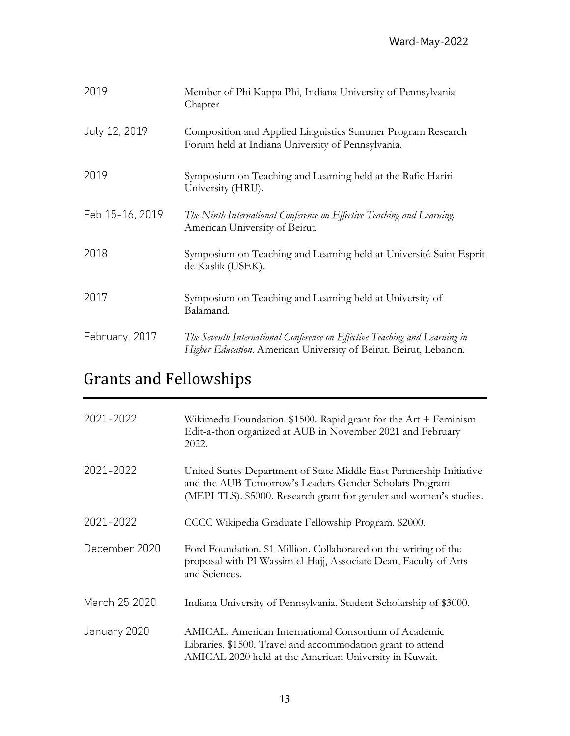| 2019            | Member of Phi Kappa Phi, Indiana University of Pennsylvania<br>Chapter                                                                          |
|-----------------|-------------------------------------------------------------------------------------------------------------------------------------------------|
| July 12, 2019   | Composition and Applied Linguistics Summer Program Research<br>Forum held at Indiana University of Pennsylvania.                                |
| 2019            | Symposium on Teaching and Learning held at the Rafic Harin<br>University (HRU).                                                                 |
| Feb 15-16, 2019 | The Ninth International Conference on Effective Teaching and Learning.<br>American University of Beirut.                                        |
| 2018            | Symposium on Teaching and Learning held at Université-Saint Esprit<br>de Kaslik (USEK).                                                         |
| 2017            | Symposium on Teaching and Learning held at University of<br>Balamand.                                                                           |
| February, 2017  | The Seventh International Conference on Effective Teaching and Learning in<br>Higher Education. American University of Beirut. Beirut, Lebanon. |

# Grants and Fellowships

| 2021-2022     | Wikimedia Foundation. $$1500$ . Rapid grant for the Art + Feminism<br>Edit-a-thon organized at AUB in November 2021 and February<br>2022.                                                            |
|---------------|------------------------------------------------------------------------------------------------------------------------------------------------------------------------------------------------------|
| 2021-2022     | United States Department of State Middle East Partnership Initiative<br>and the AUB Tomorrow's Leaders Gender Scholars Program<br>(MEPI-TLS). \$5000. Research grant for gender and women's studies. |
| 2021-2022     | CCCC Wikipedia Graduate Fellowship Program. \$2000.                                                                                                                                                  |
| December 2020 | Ford Foundation. \$1 Million. Collaborated on the writing of the<br>proposal with PI Wassim el-Hajj, Associate Dean, Faculty of Arts<br>and Sciences.                                                |
| March 25 2020 | Indiana University of Pennsylvania. Student Scholarship of \$3000.                                                                                                                                   |
| January 2020  | AMICAL. American International Consortium of Academic<br>Libraries. \$1500. Travel and accommodation grant to attend<br>AMICAL 2020 held at the American University in Kuwait.                       |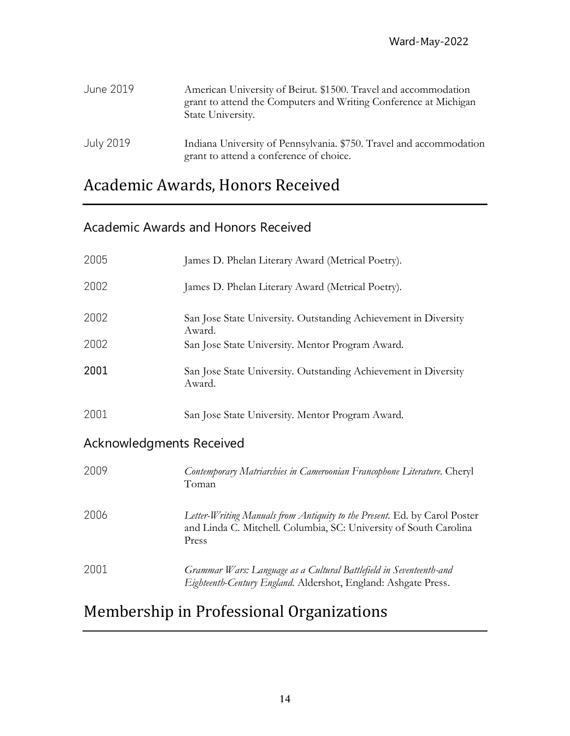| June 2019        | American University of Beirut. \$1500. Travel and accommodation<br>grant to attend the Computers and Writing Conference at Michigan<br>State University. |
|------------------|----------------------------------------------------------------------------------------------------------------------------------------------------------|
| <b>July 2019</b> | Indiana University of Pennsylvania. \$750. Travel and accommodation<br>grant to attend a conference of choice.                                           |

## Academic Awards, Honors Received

### Academic Awards and Honors Received

| 2005                            | James D. Phelan Literary Award (Metrical Poetry).                                                                                                       |
|---------------------------------|---------------------------------------------------------------------------------------------------------------------------------------------------------|
| 2002                            | James D. Phelan Literary Award (Metrical Poetry).                                                                                                       |
| 2002                            | San Jose State University. Outstanding Achievement in Diversity<br>Award.                                                                               |
| 2002                            | San Jose State University. Mentor Program Award.                                                                                                        |
| 2001                            | San Jose State University. Outstanding Achievement in Diversity<br>Award.                                                                               |
| 2001                            | San Jose State University. Mentor Program Award.                                                                                                        |
| <b>Acknowledgments Received</b> |                                                                                                                                                         |
| 2009                            | Contemporary Matriarchies in Cameroonian Francophone Literature. Cheryl<br>Toman                                                                        |
| 2006                            | Letter-Writing Manuals from Antiquity to the Present. Ed. by Carol Poster<br>and Linda C. Mitchell. Columbia, SC: University of South Carolina<br>Press |
| 2001                            | Grammar Wars: Language as a Cultural Battlefield in Seventeenth-and<br>Eighteenth-Century England. Aldershot, England: Ashgate Press.                   |

## Membership in Professional Organizations